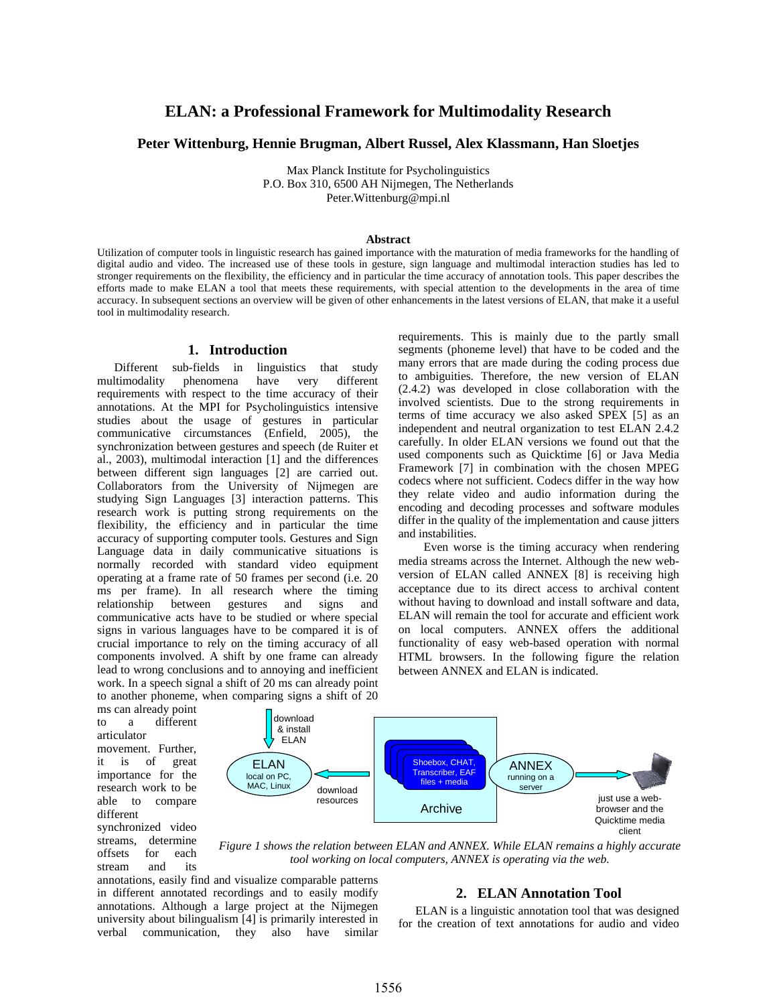# **ELAN: a Professional Framework for Multimodality Research**

## **Peter Wittenburg, Hennie Brugman, Albert Russel, Alex Klassmann, Han Sloetjes**

Max Planck Institute for Psycholinguistics P.O. Box 310, 6500 AH Nijmegen, The Netherlands Peter.Wittenburg@mpi.nl

#### **Abstract**

Utilization of computer tools in linguistic research has gained importance with the maturation of media frameworks for the handling of digital audio and video. The increased use of these tools in gesture, sign language and multimodal interaction studies has led to stronger requirements on the flexibility, the efficiency and in particular the time accuracy of annotation tools. This paper describes the efforts made to make ELAN a tool that meets these requirements, with special attention to the developments in the area of time accuracy. In subsequent sections an overview will be given of other enhancements in the latest versions of ELAN, that make it a useful tool in multimodality research.

#### **1. Introduction**

Different sub-fields in linguistics that study multimodality phenomena have very different requirements with respect to the time accuracy of their annotations. At the MPI for Psycholinguistics intensive studies about the usage of gestures in particular communicative circumstances (Enfield, 2005), the synchronization between gestures and speech (de Ruiter et al., 2003), multimodal interaction [1] and the differences between different sign languages [2] are carried out. Collaborators from the University of Nijmegen are studying Sign Languages [3] interaction patterns. This research work is putting strong requirements on the flexibility, the efficiency and in particular the time accuracy of supporting computer tools. Gestures and Sign Language data in daily communicative situations is normally recorded with standard video equipment operating at a frame rate of 50 frames per second (i.e. 20 ms per frame). In all research where the timing relationship between gestures and signs and communicative acts have to be studied or where special signs in various languages have to be compared it is of crucial importance to rely on the timing accuracy of all components involved. A shift by one frame can already lead to wrong conclusions and to annoying and inefficient work. In a speech signal a shift of 20 ms can already point to another phoneme, when comparing signs a shift of 20

requirements. This is mainly due to the partly small segments (phoneme level) that have to be coded and the many errors that are made during the coding process due to ambiguities. Therefore, the new version of ELAN (2.4.2) was developed in close collaboration with the involved scientists. Due to the strong requirements in terms of time accuracy we also asked SPEX [5] as an independent and neutral organization to test ELAN 2.4.2 carefully. In older ELAN versions we found out that the used components such as Quicktime [6] or Java Media Framework [7] in combination with the chosen MPEG codecs where not sufficient. Codecs differ in the way how they relate video and audio information during the encoding and decoding processes and software modules differ in the quality of the implementation and cause jitters and instabilities.

Even worse is the timing accuracy when rendering media streams across the Internet. Although the new webversion of ELAN called ANNEX [8] is receiving high acceptance due to its direct access to archival content without having to download and install software and data, ELAN will remain the tool for accurate and efficient work on local computers. ANNEX offers the additional functionality of easy web-based operation with normal HTML browsers. In the following figure the relation between ANNEX and ELAN is indicated.

ms can already point to a different articulator movement. Further, it is of great

importance for the research work to be able to compare different

synchronized video streams, determine offsets for each stream and its



*Figure 1 shows the relation between ELAN and ANNEX. While ELAN remains a highly accurate tool working on local computers, ANNEX is operating via the web.* 

annotations, easily find and visualize comparable patterns in different annotated recordings and to easily modify annotations. Although a large project at the Nijmegen university about bilingualism [4] is primarily interested in verbal communication, they also have similar

# **2. ELAN Annotation Tool**

ELAN is a linguistic annotation tool that was designed for the creation of text annotations for audio and video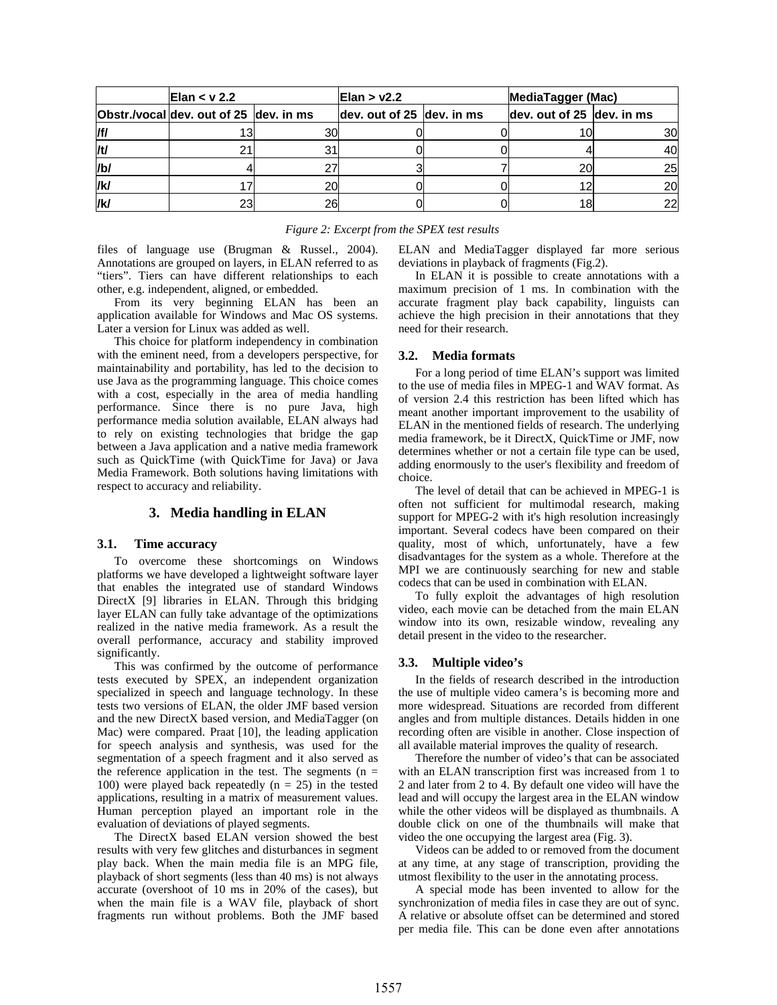| Elan $<$ v 2.2 |                                        |    | Elan $>$ v2.2             | <b>MediaTagger (Mac)</b>      |    |  |
|----------------|----------------------------------------|----|---------------------------|-------------------------------|----|--|
|                | Obstr./vocal dev. out of 25 dev. in ms |    | dev. out of 25 dev. in ms | dev. out of 25 $ $ dev. in ms |    |  |
| /f/            |                                        | 30 |                           |                               | 30 |  |
| /t/            |                                        |    |                           |                               | 40 |  |
| /b/            |                                        |    |                           | 20                            | 25 |  |
| /k/            |                                        | 20 |                           |                               | 20 |  |
| /k/            | ົ                                      | 26 |                           |                               | 22 |  |

| Figure 2: Excerpt from the SPEX test results |  |  |  |  |  |  |  |  |
|----------------------------------------------|--|--|--|--|--|--|--|--|
|----------------------------------------------|--|--|--|--|--|--|--|--|

files of language use (Brugman & Russel., 2004). Annotations are grouped on layers, in ELAN referred to as "tiers". Tiers can have different relationships to each other, e.g. independent, aligned, or embedded.

From its very beginning ELAN has been an application available for Windows and Mac OS systems. Later a version for Linux was added as well.

This choice for platform independency in combination with the eminent need, from a developers perspective, for maintainability and portability, has led to the decision to use Java as the programming language. This choice comes with a cost, especially in the area of media handling performance. Since there is no pure Java, high performance media solution available, ELAN always had to rely on existing technologies that bridge the gap between a Java application and a native media framework such as QuickTime (with QuickTime for Java) or Java Media Framework. Both solutions having limitations with respect to accuracy and reliability.

# **3. Media handling in ELAN**

#### **3.1. Time accuracy**

To overcome these shortcomings on Windows platforms we have developed a lightweight software layer that enables the integrated use of standard Windows DirectX [9] libraries in ELAN. Through this bridging layer ELAN can fully take advantage of the optimizations realized in the native media framework. As a result the overall performance, accuracy and stability improved significantly.

This was confirmed by the outcome of performance tests executed by SPEX, an independent organization specialized in speech and language technology. In these tests two versions of ELAN, the older JMF based version and the new DirectX based version, and MediaTagger (on Mac) were compared. Praat [10], the leading application for speech analysis and synthesis, was used for the segmentation of a speech fragment and it also served as the reference application in the test. The segments ( $n =$ 100) were played back repeatedly  $(n = 25)$  in the tested applications, resulting in a matrix of measurement values. Human perception played an important role in the evaluation of deviations of played segments.

The DirectX based ELAN version showed the best results with very few glitches and disturbances in segment play back. When the main media file is an MPG file, playback of short segments (less than 40 ms) is not always accurate (overshoot of 10 ms in 20% of the cases), but when the main file is a WAV file, playback of short fragments run without problems. Both the JMF based

ELAN and MediaTagger displayed far more serious deviations in playback of fragments (Fig.2).

In ELAN it is possible to create annotations with a maximum precision of 1 ms. In combination with the accurate fragment play back capability, linguists can achieve the high precision in their annotations that they need for their research.

#### **3.2. Media formats**

For a long period of time ELAN's support was limited to the use of media files in MPEG-1 and WAV format. As of version 2.4 this restriction has been lifted which has meant another important improvement to the usability of ELAN in the mentioned fields of research. The underlying media framework, be it DirectX, QuickTime or JMF, now determines whether or not a certain file type can be used, adding enormously to the user's flexibility and freedom of choice.

The level of detail that can be achieved in MPEG-1 is often not sufficient for multimodal research, making support for MPEG-2 with it's high resolution increasingly important. Several codecs have been compared on their quality, most of which, unfortunately, have a few disadvantages for the system as a whole. Therefore at the MPI we are continuously searching for new and stable codecs that can be used in combination with ELAN.

To fully exploit the advantages of high resolution video, each movie can be detached from the main ELAN window into its own, resizable window, revealing any detail present in the video to the researcher.

### **3.3. Multiple video's**

In the fields of research described in the introduction the use of multiple video camera's is becoming more and more widespread. Situations are recorded from different angles and from multiple distances. Details hidden in one recording often are visible in another. Close inspection of all available material improves the quality of research.

Therefore the number of video's that can be associated with an ELAN transcription first was increased from 1 to 2 and later from 2 to 4. By default one video will have the lead and will occupy the largest area in the ELAN window while the other videos will be displayed as thumbnails. A double click on one of the thumbnails will make that video the one occupying the largest area (Fig. 3).

Videos can be added to or removed from the document at any time, at any stage of transcription, providing the utmost flexibility to the user in the annotating process.

A special mode has been invented to allow for the synchronization of media files in case they are out of sync. A relative or absolute offset can be determined and stored per media file. This can be done even after annotations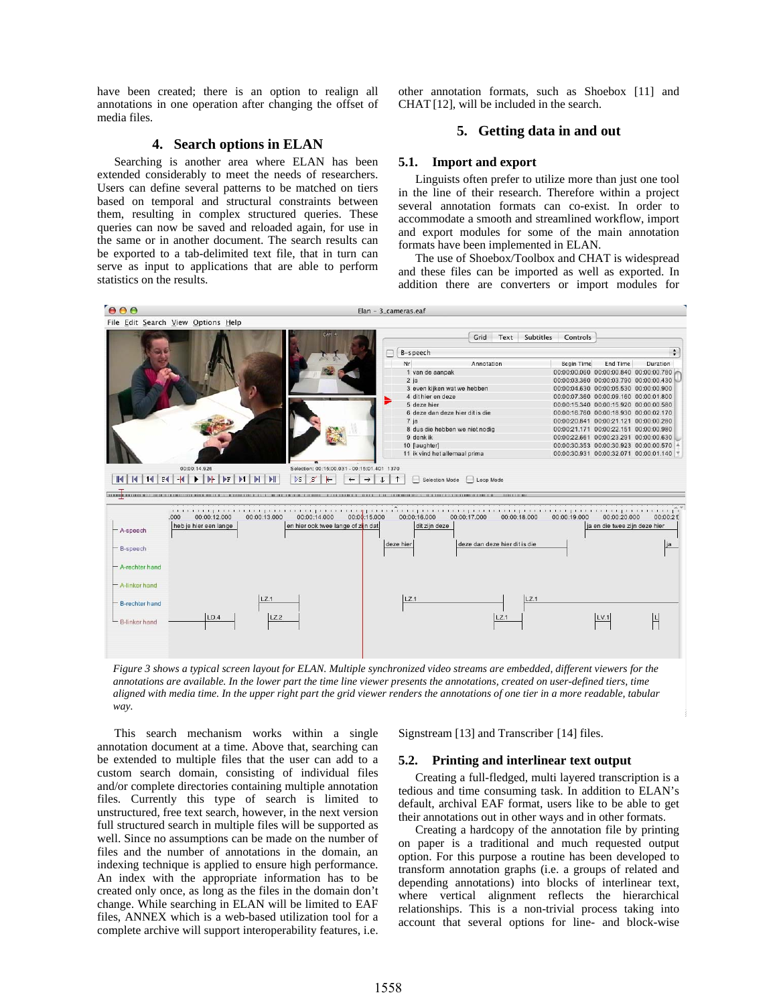have been created; there is an option to realign all annotations in one operation after changing the offset of media files.

### **4. Search options in ELAN**

Searching is another area where ELAN has been extended considerably to meet the needs of researchers. Users can define several patterns to be matched on tiers based on temporal and structural constraints between them, resulting in complex structured queries. These queries can now be saved and reloaded again, for use in the same or in another document. The search results can be exported to a tab-delimited text file, that in turn can serve as input to applications that are able to perform statistics on the results.

other annotation formats, such as Shoebox [11] and CHAT [12], will be included in the search.

## **5. Getting data in and out**

#### **5.1. Import and export**

Linguists often prefer to utilize more than just one tool in the line of their research. Therefore within a project several annotation formats can co-exist. In order to accommodate a smooth and streamlined workflow, import and export modules for some of the main annotation formats have been implemented in ELAN.

The use of Shoebox/Toolbox and CHAT is widespread and these files can be imported as well as exported. In addition there are converters or import modules for



*Figure 3 shows a typical screen layout for ELAN. Multiple synchronized video streams are embedded, different viewers for the annotations are available. In the lower part the time line viewer presents the annotations, created on user-defined tiers, time aligned with media time. In the upper right part the grid viewer renders the annotations of one tier in a more readable, tabular way.* 

This search mechanism works within a single annotation document at a time. Above that, searching can be extended to multiple files that the user can add to a custom search domain, consisting of individual files and/or complete directories containing multiple annotation files. Currently this type of search is limited to unstructured, free text search, however, in the next version full structured search in multiple files will be supported as well. Since no assumptions can be made on the number of files and the number of annotations in the domain, an indexing technique is applied to ensure high performance. An index with the appropriate information has to be created only once, as long as the files in the domain don't change. While searching in ELAN will be limited to EAF files, ANNEX which is a web-based utilization tool for a complete archive will support interoperability features, i.e.

Signstream [13] and Transcriber [14] files.

### **5.2. Printing and interlinear text output**

Creating a full-fledged, multi layered transcription is a tedious and time consuming task. In addition to ELAN's default, archival EAF format, users like to be able to get their annotations out in other ways and in other formats.

Creating a hardcopy of the annotation file by printing on paper is a traditional and much requested output option. For this purpose a routine has been developed to transform annotation graphs (i.e. a groups of related and depending annotations) into blocks of interlinear text, where vertical alignment reflects the hierarchical relationships. This is a non-trivial process taking into account that several options for line- and block-wise